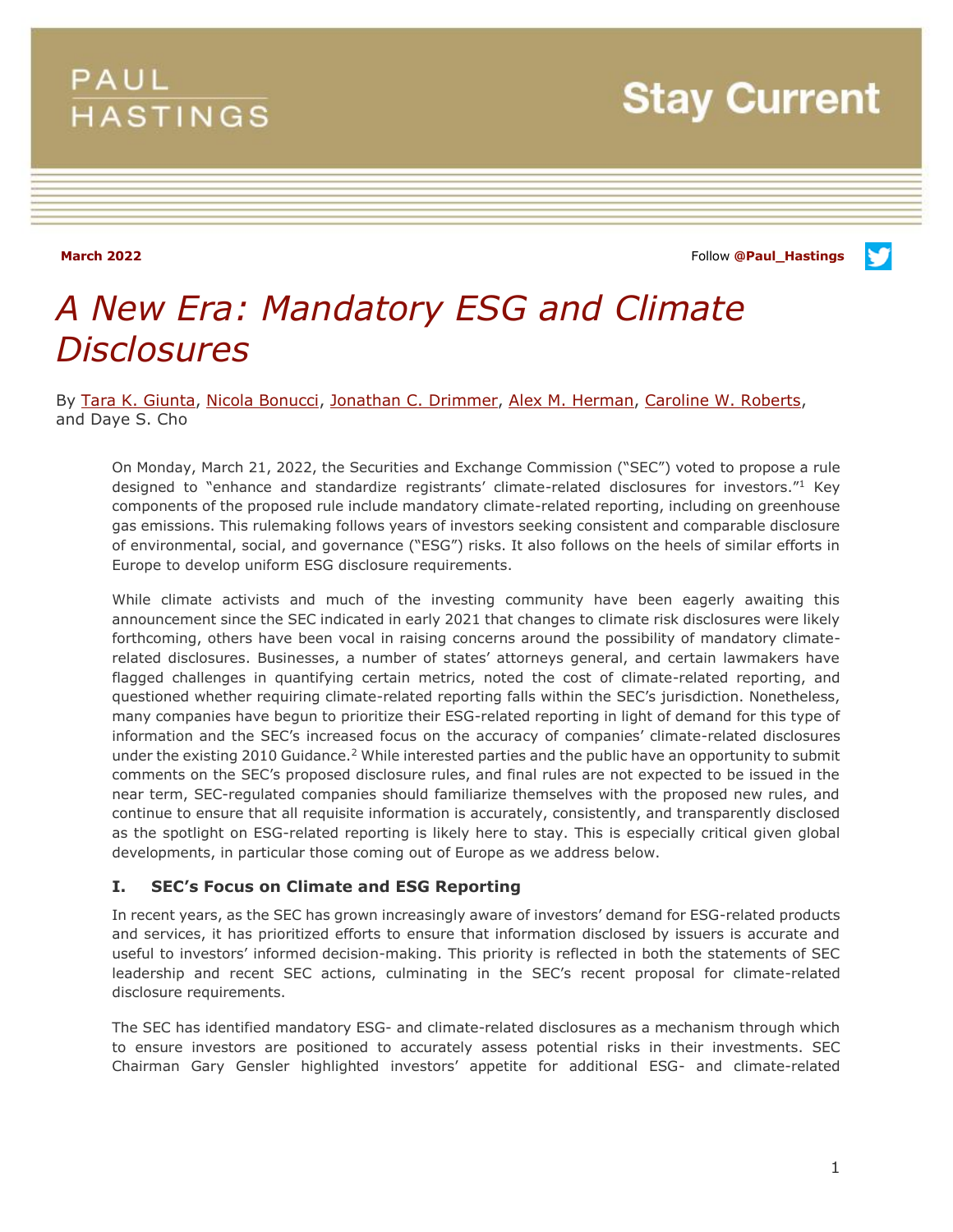## **PAUL HASTINGS**

**Stay Current** 

**March 2022** Follow **[@Paul\\_Hastings](http://twitter.com/Paul_Hastings)**



# *A New Era: Mandatory ESG and Climate Disclosures*

By [Tara K. Giunta,](https://www.paulhastings.com/professionals/taragiunta) [Nicola Bonucci,](https://www.paulhastings.com/professionals/nicolabonucci) [Jonathan C. Drimmer,](https://www.paulhastings.com/professionals/jondrimmer) [Alex M. Herman,](https://www.paulhastings.com/professionals/alexherman) [Caroline W. Roberts,](https://www.paulhastings.com/professionals/carolinewilsonroberts) and Daye S. Cho

On Monday, March 21, 2022, the Securities and Exchange Commission ("SEC") voted to propose a rule designed to "enhance and standardize registrants' climate-related disclosures for investors."1 Key components of the proposed rule include mandatory climate-related reporting, including on greenhouse gas emissions. This rulemaking follows years of investors seeking consistent and comparable disclosure of environmental, social, and governance ("ESG") risks. It also follows on the heels of similar efforts in Europe to develop uniform ESG disclosure requirements.

While climate activists and much of the investing community have been eagerly awaiting this announcement since the SEC indicated in early 2021 that changes to climate risk disclosures were likely forthcoming, others have been vocal in raising concerns around the possibility of mandatory climaterelated disclosures. Businesses, a number of states' attorneys general, and certain lawmakers have flagged challenges in quantifying certain metrics, noted the cost of climate-related reporting, and questioned whether requiring climate-related reporting falls within the SEC's jurisdiction. Nonetheless, many companies have begun to prioritize their ESG-related reporting in light of demand for this type of information and the SEC's increased focus on the accuracy of companies' climate-related disclosures under the existing 2010 Guidance.<sup>2</sup> While interested parties and the public have an opportunity to submit comments on the SEC's proposed disclosure rules, and final rules are not expected to be issued in the near term, SEC-regulated companies should familiarize themselves with the proposed new rules, and continue to ensure that all requisite information is accurately, consistently, and transparently disclosed as the spotlight on ESG-related reporting is likely here to stay. This is especially critical given global developments, in particular those coming out of Europe as we address below.

#### **I. SEC's Focus on Climate and ESG Reporting**

In recent years, as the SEC has grown increasingly aware of investors' demand for ESG-related products and services, it has prioritized efforts to ensure that information disclosed by issuers is accurate and useful to investors' informed decision-making. This priority is reflected in both the statements of SEC leadership and recent SEC actions, culminating in the SEC's recent proposal for climate-related disclosure requirements.

The SEC has identified mandatory ESG- and climate-related disclosures as a mechanism through which to ensure investors are positioned to accurately assess potential risks in their investments. SEC Chairman Gary Gensler highlighted investors' appetite for additional ESG- and climate-related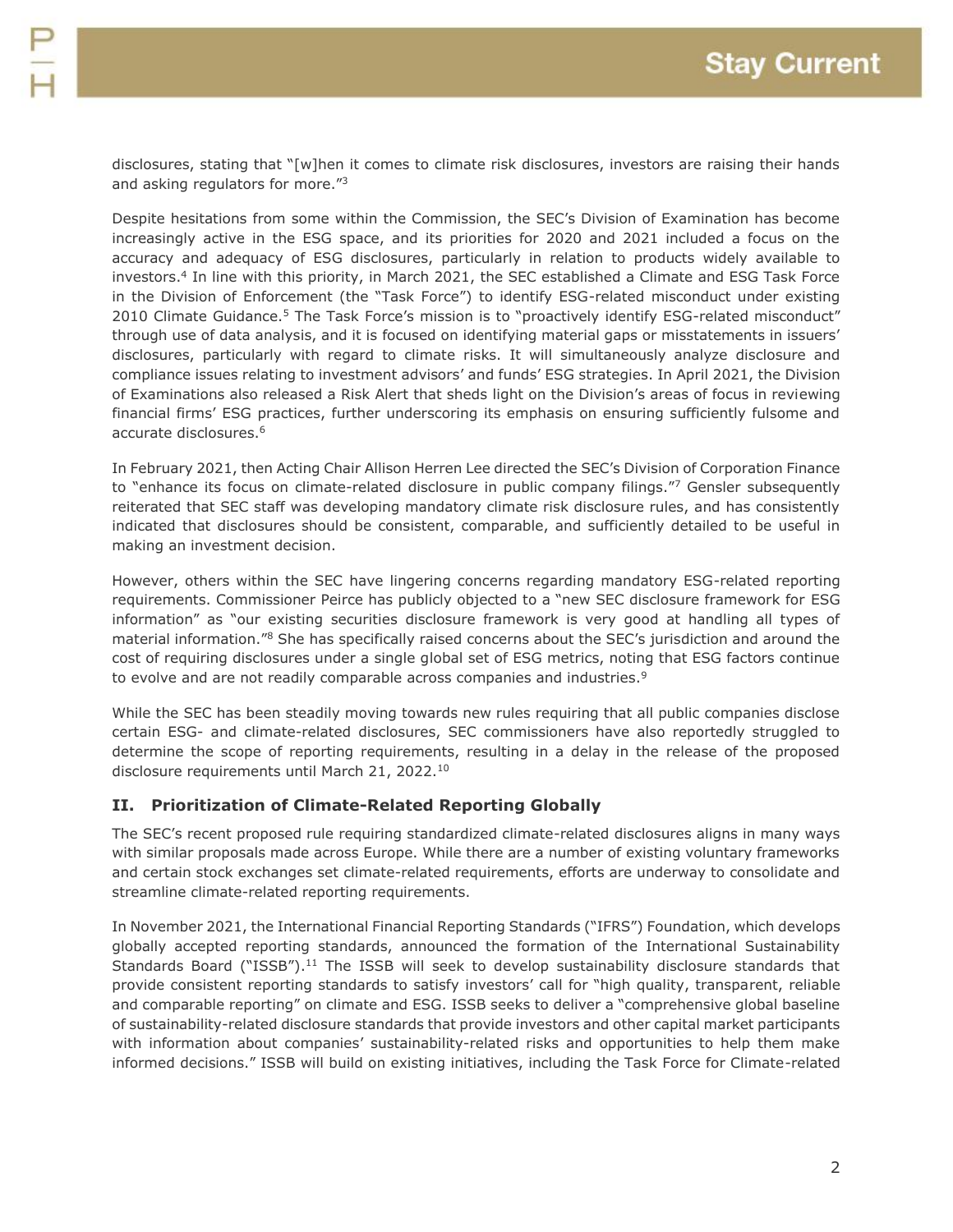disclosures, stating that "[w]hen it comes to climate risk disclosures, investors are raising their hands and asking regulators for more."<sup>3</sup>

Despite hesitations from some within the Commission, the SEC's Division of Examination has become increasingly active in the ESG space, and its priorities for 2020 and 2021 included a focus on the accuracy and adequacy of ESG disclosures, particularly in relation to products widely available to investors.<sup>4</sup> In line with this priority, in March 2021, the SEC established a Climate and ESG Task Force in the Division of Enforcement (the "Task Force") to identify ESG-related misconduct under existing 2010 Climate Guidance.<sup>5</sup> The Task Force's mission is to "proactively identify ESG-related misconduct" through use of data analysis, and it is focused on identifying material gaps or misstatements in issuers' disclosures, particularly with regard to climate risks. It will simultaneously analyze disclosure and compliance issues relating to investment advisors' and funds' ESG strategies. In April 2021, the Division of Examinations also released a Risk Alert that sheds light on the Division's areas of focus in reviewing financial firms' ESG practices, further underscoring its emphasis on ensuring sufficiently fulsome and accurate disclosures.<sup>6</sup>

In February 2021, then Acting Chair Allison Herren Lee directed the SEC's Division of Corporation Finance to "enhance its focus on climate-related disclosure in public company filings."7 Gensler subsequently reiterated that SEC staff was developing mandatory climate risk disclosure rules, and has consistently indicated that disclosures should be consistent, comparable, and sufficiently detailed to be useful in making an investment decision.

However, others within the SEC have lingering concerns regarding mandatory ESG-related reporting requirements. Commissioner Peirce has publicly objected to a "new SEC disclosure framework for ESG information" as "our existing securities disclosure framework is very good at handling all types of material information."<sup>8</sup> She has specifically raised concerns about the SEC's jurisdiction and around the cost of requiring disclosures under a single global set of ESG metrics, noting that ESG factors continue to evolve and are not readily comparable across companies and industries.<sup>9</sup>

While the SEC has been steadily moving towards new rules requiring that all public companies disclose certain ESG- and climate-related disclosures, SEC commissioners have also reportedly struggled to determine the scope of reporting requirements, resulting in a delay in the release of the proposed disclosure requirements until March 21, 2022.<sup>10</sup>

### **II. Prioritization of Climate-Related Reporting Globally**

The SEC's recent proposed rule requiring standardized climate-related disclosures aligns in many ways with similar proposals made across Europe. While there are a number of existing voluntary frameworks and certain stock exchanges set climate-related requirements, efforts are underway to consolidate and streamline climate-related reporting requirements.

In November 2021, the International Financial Reporting Standards ("IFRS") Foundation, which develops globally accepted reporting standards, announced the formation of the International Sustainability Standards Board ("ISSB").<sup>11</sup> The ISSB will seek to develop sustainability disclosure standards that provide consistent reporting standards to satisfy investors' call for "high quality, transparent, reliable and comparable reporting" on climate and ESG. ISSB seeks to deliver a "comprehensive global baseline of sustainability-related disclosure standards that provide investors and other capital market participants with information about companies' sustainability-related risks and opportunities to help them make informed decisions." ISSB will build on existing initiatives, including the Task Force for Climate-related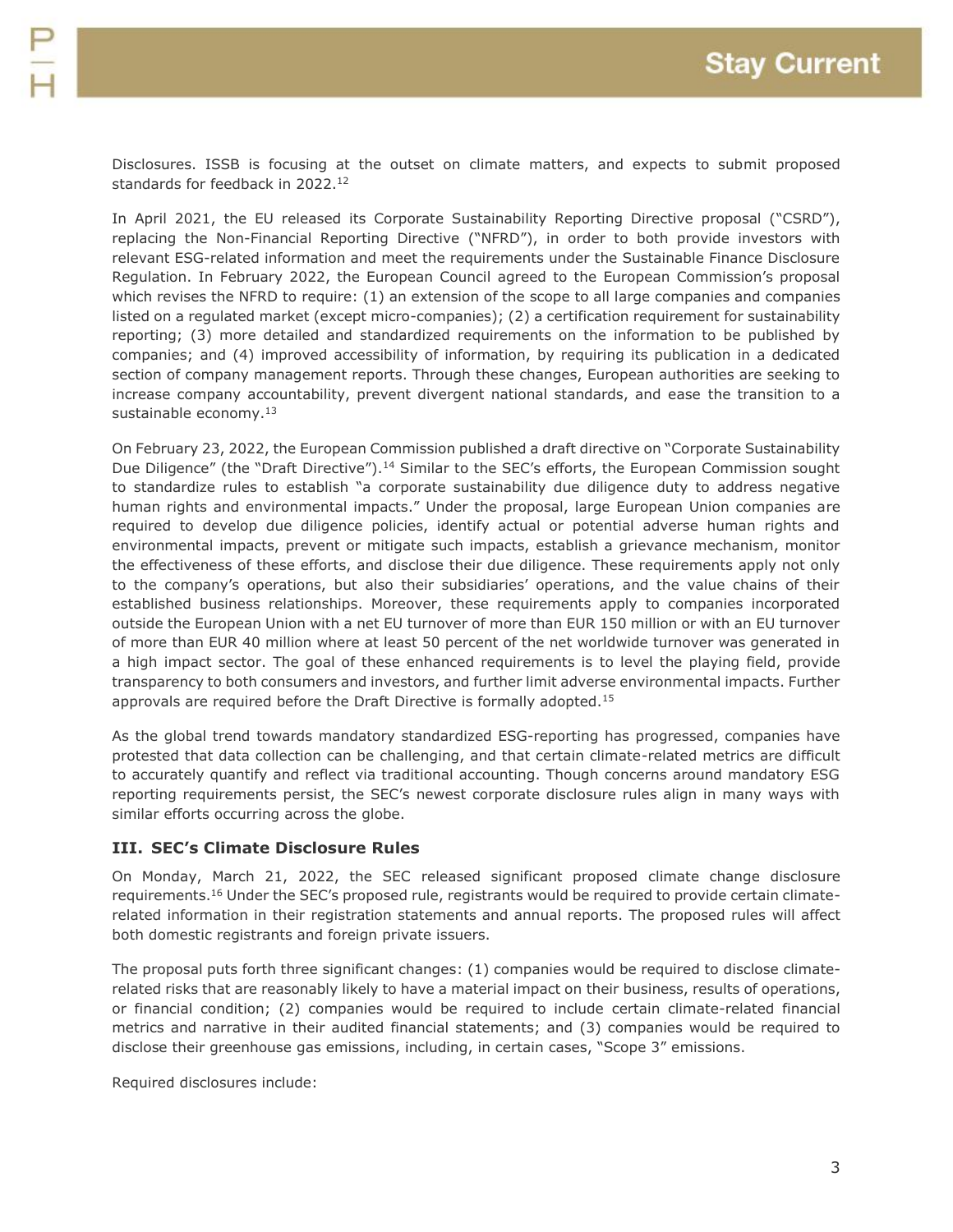Disclosures. ISSB is focusing at the outset on climate matters, and expects to submit proposed standards for feedback in 2022.<sup>12</sup>

In April 2021, the EU released its Corporate Sustainability Reporting Directive proposal ("CSRD"), replacing the Non-Financial Reporting Directive ("NFRD"), in order to both provide investors with relevant ESG-related information and meet the requirements under the Sustainable Finance Disclosure Regulation. In February 2022, the European Council agreed to the European Commission's proposal which revises the NFRD to require: (1) an extension of the scope to all large companies and companies listed on a regulated market (except micro-companies); (2) a certification requirement for sustainability reporting; (3) more detailed and standardized requirements on the information to be published by companies; and (4) improved accessibility of information, by requiring its publication in a dedicated section of company management reports. Through these changes, European authorities are seeking to increase company accountability, prevent divergent national standards, and ease the transition to a sustainable economy.<sup>13</sup>

On February 23, 2022, the European Commission published a draft directive on "Corporate Sustainability Due Diligence" (the "Draft Directive").<sup>14</sup> Similar to the SEC's efforts, the European Commission sought to standardize rules to establish "a corporate sustainability due diligence duty to address negative human rights and environmental impacts." Under the proposal, large European Union companies are required to develop due diligence policies, identify actual or potential adverse human rights and environmental impacts, prevent or mitigate such impacts, establish a grievance mechanism, monitor the effectiveness of these efforts, and disclose their due diligence. These requirements apply not only to the company's operations, but also their subsidiaries' operations, and the value chains of their established business relationships. Moreover, these requirements apply to companies incorporated outside the European Union with a net EU turnover of more than EUR 150 million or with an EU turnover of more than EUR 40 million where at least 50 percent of the net worldwide turnover was generated in a high impact sector. The goal of these enhanced requirements is to level the playing field, provide transparency to both consumers and investors, and further limit adverse environmental impacts. Further approvals are required before the Draft Directive is formally adopted.<sup>15</sup>

As the global trend towards mandatory standardized ESG-reporting has progressed, companies have protested that data collection can be challenging, and that certain climate-related metrics are difficult to accurately quantify and reflect via traditional accounting. Though concerns around mandatory ESG reporting requirements persist, the SEC's newest corporate disclosure rules align in many ways with similar efforts occurring across the globe.

#### **III. SEC's Climate Disclosure Rules**

On Monday, March 21, 2022, the SEC released significant proposed climate change disclosure requirements.<sup>16</sup> Under the SEC's proposed rule, registrants would be required to provide certain climaterelated information in their registration statements and annual reports. The proposed rules will affect both domestic registrants and foreign private issuers.

The proposal puts forth three significant changes: (1) companies would be required to disclose climaterelated risks that are reasonably likely to have a material impact on their business, results of operations, or financial condition; (2) companies would be required to include certain climate-related financial metrics and narrative in their audited financial statements; and (3) companies would be required to disclose their greenhouse gas emissions, including, in certain cases, "Scope 3" emissions.

Required disclosures include: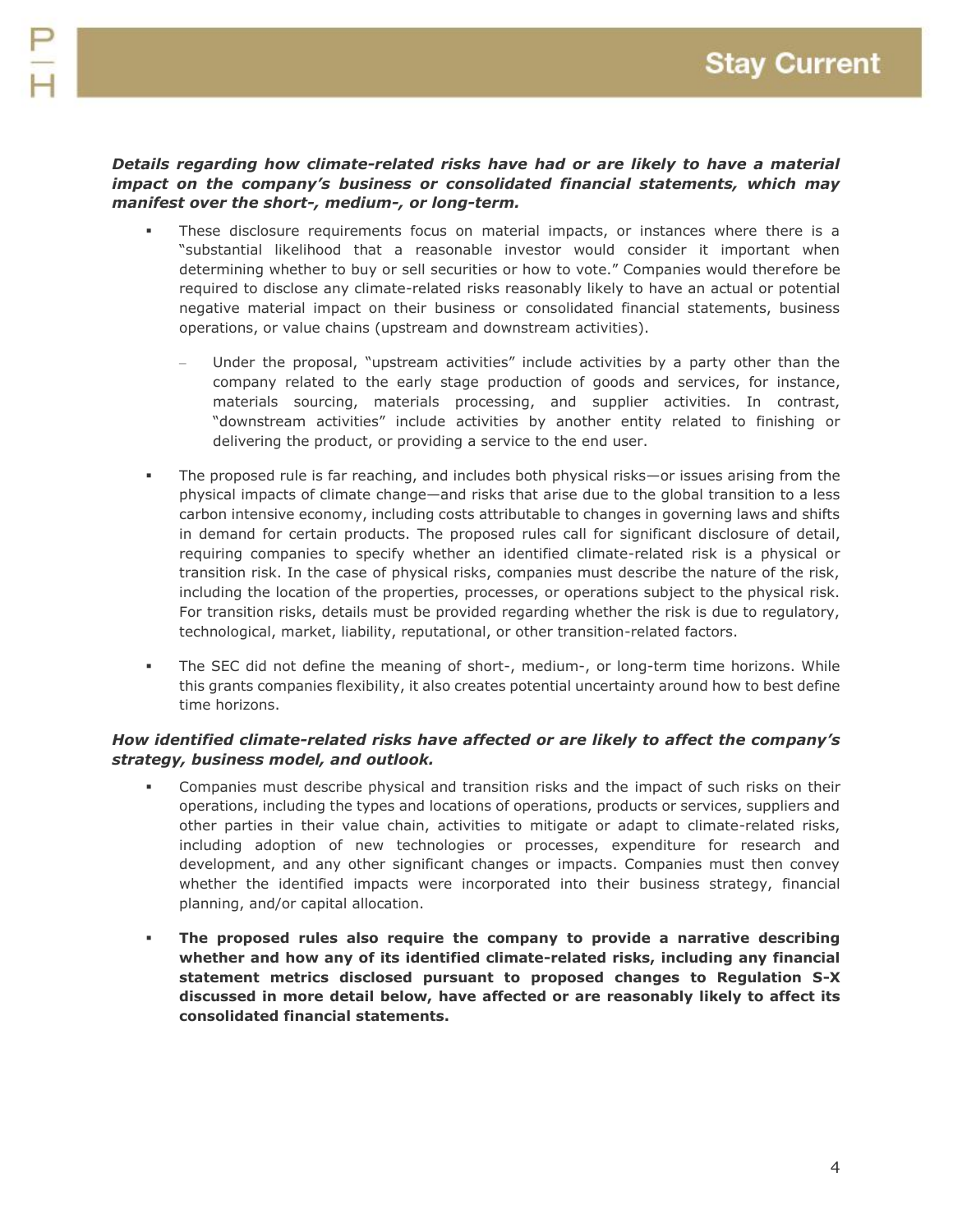#### *Details regarding how climate-related risks have had or are likely to have a material impact on the company's business or consolidated financial statements, which may manifest over the short-, medium-, or long-term.*

- These disclosure requirements focus on material impacts, or instances where there is a "substantial likelihood that a reasonable investor would consider it important when determining whether to buy or sell securities or how to vote." Companies would therefore be required to disclose any climate-related risks reasonably likely to have an actual or potential negative material impact on their business or consolidated financial statements, business operations, or value chains (upstream and downstream activities).
	- Under the proposal, "upstream activities" include activities by a party other than the company related to the early stage production of goods and services, for instance, materials sourcing, materials processing, and supplier activities. In contrast, "downstream activities" include activities by another entity related to finishing or delivering the product, or providing a service to the end user.
- The proposed rule is far reaching, and includes both physical risks—or issues arising from the physical impacts of climate change—and risks that arise due to the global transition to a less carbon intensive economy, including costs attributable to changes in governing laws and shifts in demand for certain products. The proposed rules call for significant disclosure of detail, requiring companies to specify whether an identified climate-related risk is a physical or transition risk. In the case of physical risks, companies must describe the nature of the risk, including the location of the properties, processes, or operations subject to the physical risk. For transition risks, details must be provided regarding whether the risk is due to regulatory, technological, market, liability, reputational, or other transition-related factors.
- The SEC did not define the meaning of short-, medium-, or long-term time horizons. While this grants companies flexibility, it also creates potential uncertainty around how to best define time horizons.

#### *How identified climate-related risks have affected or are likely to affect the company's strategy, business model, and outlook.*

- Companies must describe physical and transition risks and the impact of such risks on their operations, including the types and locations of operations, products or services, suppliers and other parties in their value chain, activities to mitigate or adapt to climate-related risks, including adoption of new technologies or processes, expenditure for research and development, and any other significant changes or impacts. Companies must then convey whether the identified impacts were incorporated into their business strategy, financial planning, and/or capital allocation.
- **The proposed rules also require the company to provide a narrative describing whether and how any of its identified climate-related risks, including any financial statement metrics disclosed pursuant to proposed changes to Regulation S-X discussed in more detail below, have affected or are reasonably likely to affect its consolidated financial statements.**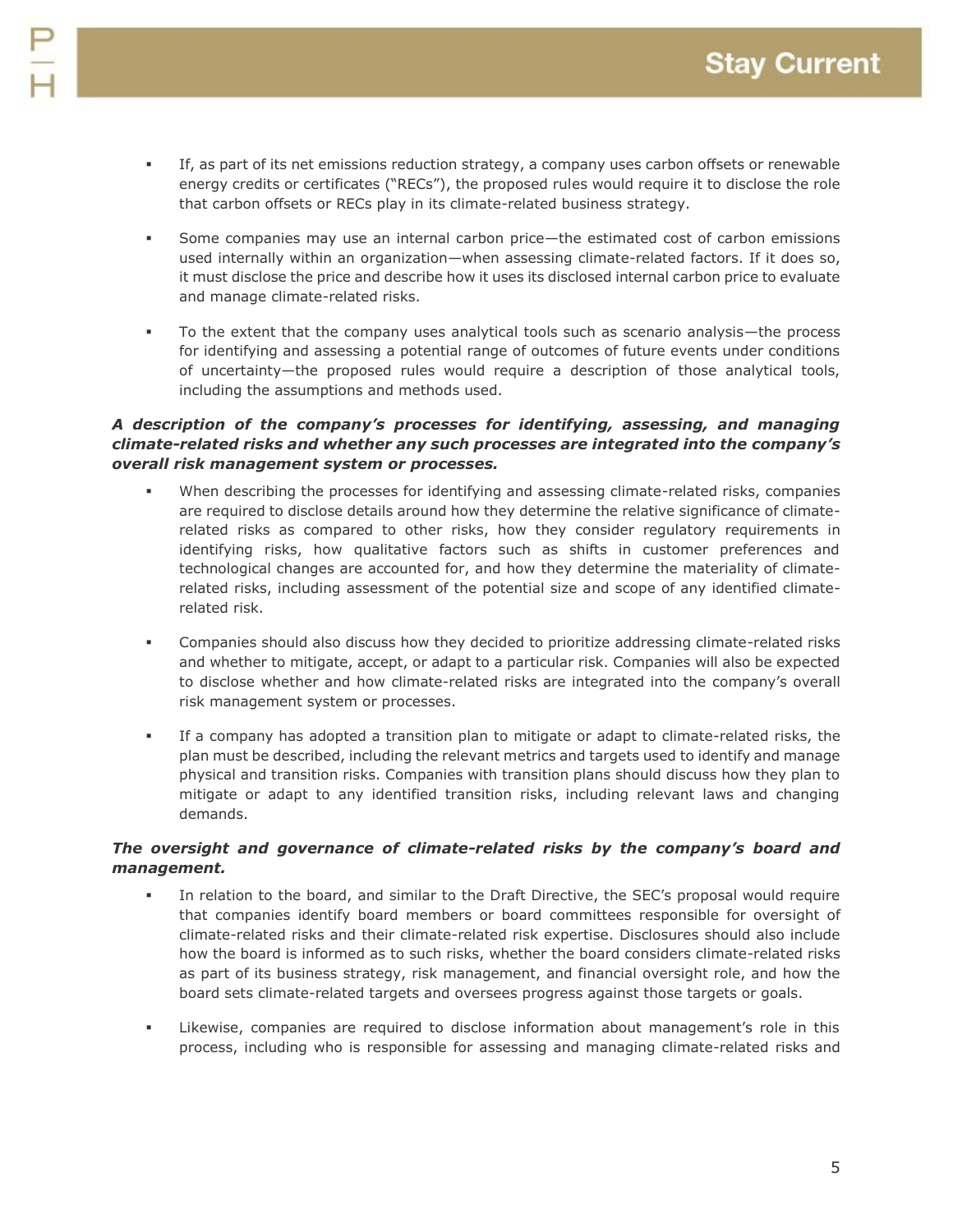- 
- If, as part of its net emissions reduction strategy, a company uses carbon offsets or renewable energy credits or certificates ("RECs"), the proposed rules would require it to disclose the role that carbon offsets or RECs play in its climate-related business strategy.
- Some companies may use an internal carbon price—the estimated cost of carbon emissions used internally within an organization—when assessing climate-related factors. If it does so, it must disclose the price and describe how it uses its disclosed internal carbon price to evaluate and manage climate-related risks.
- To the extent that the company uses analytical tools such as scenario analysis—the process for identifying and assessing a potential range of outcomes of future events under conditions of uncertainty—the proposed rules would require a description of those analytical tools, including the assumptions and methods used.

#### *A description of the company's processes for identifying, assessing, and managing climate-related risks and whether any such processes are integrated into the company's overall risk management system or processes.*

- When describing the processes for identifying and assessing climate-related risks, companies are required to disclose details around how they determine the relative significance of climaterelated risks as compared to other risks, how they consider regulatory requirements in identifying risks, how qualitative factors such as shifts in customer preferences and technological changes are accounted for, and how they determine the materiality of climaterelated risks, including assessment of the potential size and scope of any identified climaterelated risk.
- Companies should also discuss how they decided to prioritize addressing climate-related risks and whether to mitigate, accept, or adapt to a particular risk. Companies will also be expected to disclose whether and how climate-related risks are integrated into the company's overall risk management system or processes.
- If a company has adopted a transition plan to mitigate or adapt to climate-related risks, the plan must be described, including the relevant metrics and targets used to identify and manage physical and transition risks. Companies with transition plans should discuss how they plan to mitigate or adapt to any identified transition risks, including relevant laws and changing demands.

#### *The oversight and governance of climate-related risks by the company's board and management.*

- In relation to the board, and similar to the Draft Directive, the SEC's proposal would require that companies identify board members or board committees responsible for oversight of climate-related risks and their climate-related risk expertise. Disclosures should also include how the board is informed as to such risks, whether the board considers climate-related risks as part of its business strategy, risk management, and financial oversight role, and how the board sets climate-related targets and oversees progress against those targets or goals.
- Likewise, companies are required to disclose information about management's role in this process, including who is responsible for assessing and managing climate-related risks and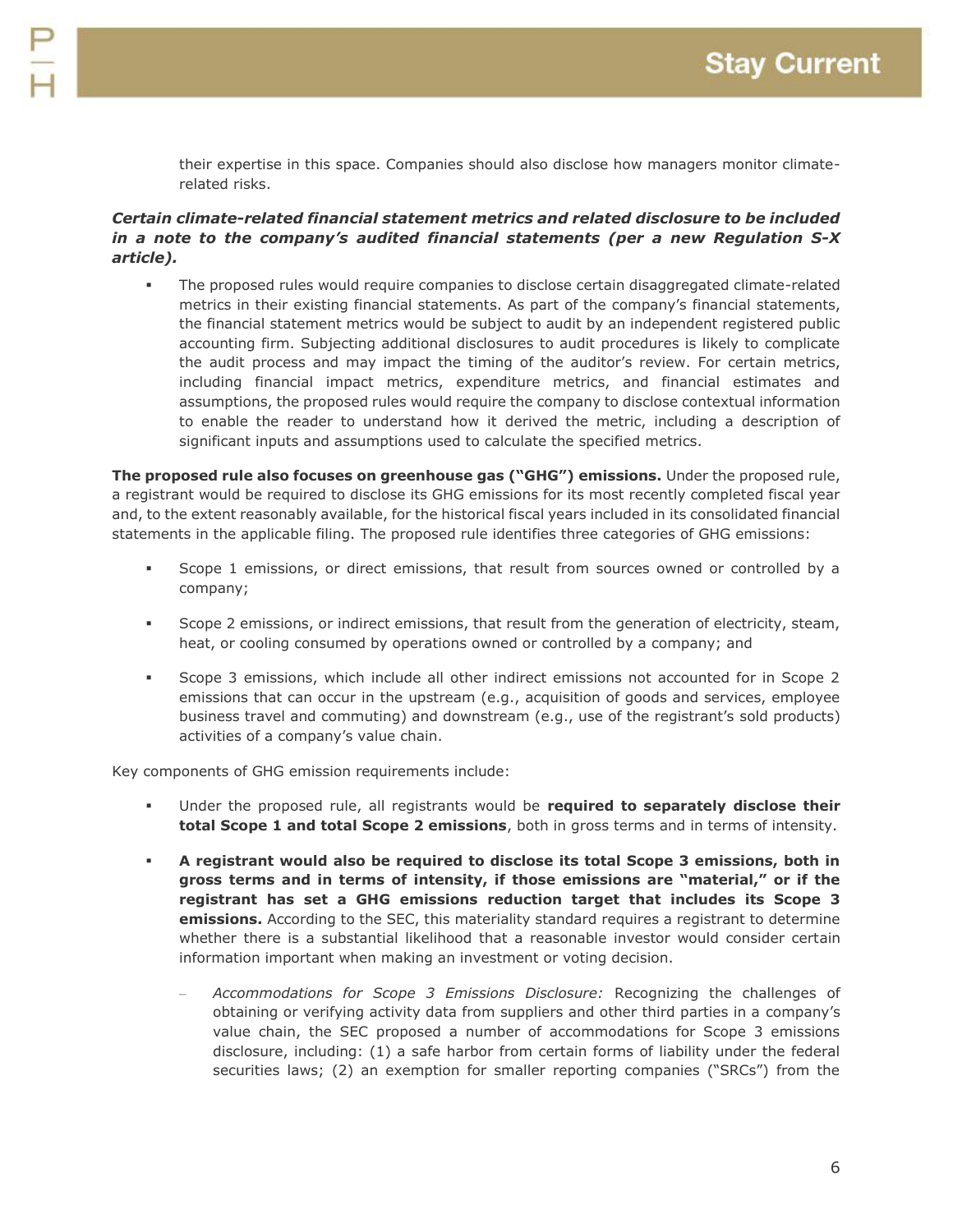their expertise in this space. Companies should also disclose how managers monitor climaterelated risks.

#### *Certain climate-related financial statement metrics and related disclosure to be included in a note to the company's audited financial statements (per a new Regulation S-X article).*

 The proposed rules would require companies to disclose certain disaggregated climate-related metrics in their existing financial statements. As part of the company's financial statements, the financial statement metrics would be subject to audit by an independent registered public accounting firm. Subjecting additional disclosures to audit procedures is likely to complicate the audit process and may impact the timing of the auditor's review. For certain metrics, including financial impact metrics, expenditure metrics, and financial estimates and assumptions, the proposed rules would require the company to disclose contextual information to enable the reader to understand how it derived the metric, including a description of significant inputs and assumptions used to calculate the specified metrics.

**The proposed rule also focuses on greenhouse gas ("GHG") emissions.** Under the proposed rule, a registrant would be required to disclose its GHG emissions for its most recently completed fiscal year and, to the extent reasonably available, for the historical fiscal years included in its consolidated financial statements in the applicable filing. The proposed rule identifies three categories of GHG emissions:

- Scope 1 emissions, or direct emissions, that result from sources owned or controlled by a company;
- Scope 2 emissions, or indirect emissions, that result from the generation of electricity, steam, heat, or cooling consumed by operations owned or controlled by a company; and
- Scope 3 emissions, which include all other indirect emissions not accounted for in Scope 2 emissions that can occur in the upstream (e.g., acquisition of goods and services, employee business travel and commuting) and downstream (e.g., use of the registrant's sold products) activities of a company's value chain.

Key components of GHG emission requirements include:

- Under the proposed rule, all registrants would be **required to separately disclose their total Scope 1 and total Scope 2 emissions**, both in gross terms and in terms of intensity.
- **A registrant would also be required to disclose its total Scope 3 emissions, both in gross terms and in terms of intensity, if those emissions are "material," or if the registrant has set a GHG emissions reduction target that includes its Scope 3 emissions.** According to the SEC, this materiality standard requires a registrant to determine whether there is a substantial likelihood that a reasonable investor would consider certain information important when making an investment or voting decision.
	- *Accommodations for Scope 3 Emissions Disclosure:* Recognizing the challenges of obtaining or verifying activity data from suppliers and other third parties in a company's value chain, the SEC proposed a number of accommodations for Scope 3 emissions disclosure, including: (1) a safe harbor from certain forms of liability under the federal securities laws; (2) an exemption for smaller reporting companies ("SRCs") from the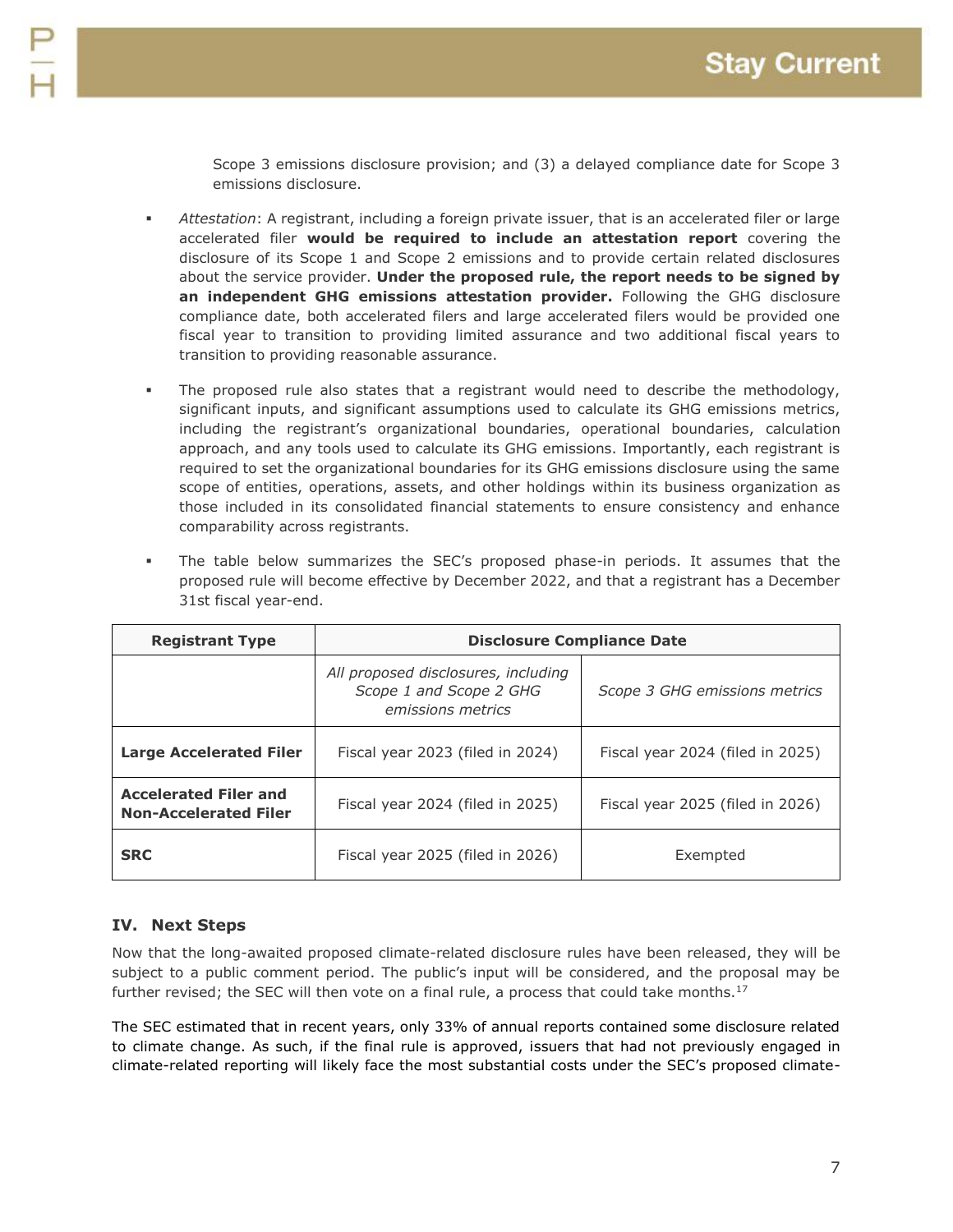Scope 3 emissions disclosure provision; and (3) a delayed compliance date for Scope 3 emissions disclosure.

- *Attestation*: A registrant, including a foreign private issuer, that is an accelerated filer or large accelerated filer **would be required to include an attestation report** covering the disclosure of its Scope 1 and Scope 2 emissions and to provide certain related disclosures about the service provider. **Under the proposed rule, the report needs to be signed by an independent GHG emissions attestation provider.** Following the GHG disclosure compliance date, both accelerated filers and large accelerated filers would be provided one fiscal year to transition to providing limited assurance and two additional fiscal years to transition to providing reasonable assurance.
- The proposed rule also states that a registrant would need to describe the methodology, significant inputs, and significant assumptions used to calculate its GHG emissions metrics, including the registrant's organizational boundaries, operational boundaries, calculation approach, and any tools used to calculate its GHG emissions. Importantly, each registrant is required to set the organizational boundaries for its GHG emissions disclosure using the same scope of entities, operations, assets, and other holdings within its business organization as those included in its consolidated financial statements to ensure consistency and enhance comparability across registrants.
- The table below summarizes the SEC's proposed phase-in periods. It assumes that the proposed rule will become effective by December 2022, and that a registrant has a December 31st fiscal year-end.

| <b>Registrant Type</b>                                       | <b>Disclosure Compliance Date</b>                                                   |                                  |  |
|--------------------------------------------------------------|-------------------------------------------------------------------------------------|----------------------------------|--|
|                                                              | All proposed disclosures, including<br>Scope 1 and Scope 2 GHG<br>emissions metrics | Scope 3 GHG emissions metrics    |  |
| <b>Large Accelerated Filer</b>                               | Fiscal year 2023 (filed in 2024)                                                    | Fiscal year 2024 (filed in 2025) |  |
| <b>Accelerated Filer and</b><br><b>Non-Accelerated Filer</b> | Fiscal year 2024 (filed in 2025)                                                    | Fiscal year 2025 (filed in 2026) |  |
| <b>SRC</b>                                                   | Fiscal year 2025 (filed in 2026)                                                    | Exempted                         |  |

### **IV. Next Steps**

Now that the long-awaited proposed climate-related disclosure rules have been released, they will be subject to a public comment period. The public's input will be considered, and the proposal may be further revised; the SEC will then vote on a final rule, a process that could take months.<sup>17</sup>

The SEC estimated that in recent years, only 33% of annual reports contained some disclosure related to climate change. As such, if the final rule is approved, issuers that had not previously engaged in climate-related reporting will likely face the most substantial costs under the SEC's proposed climate-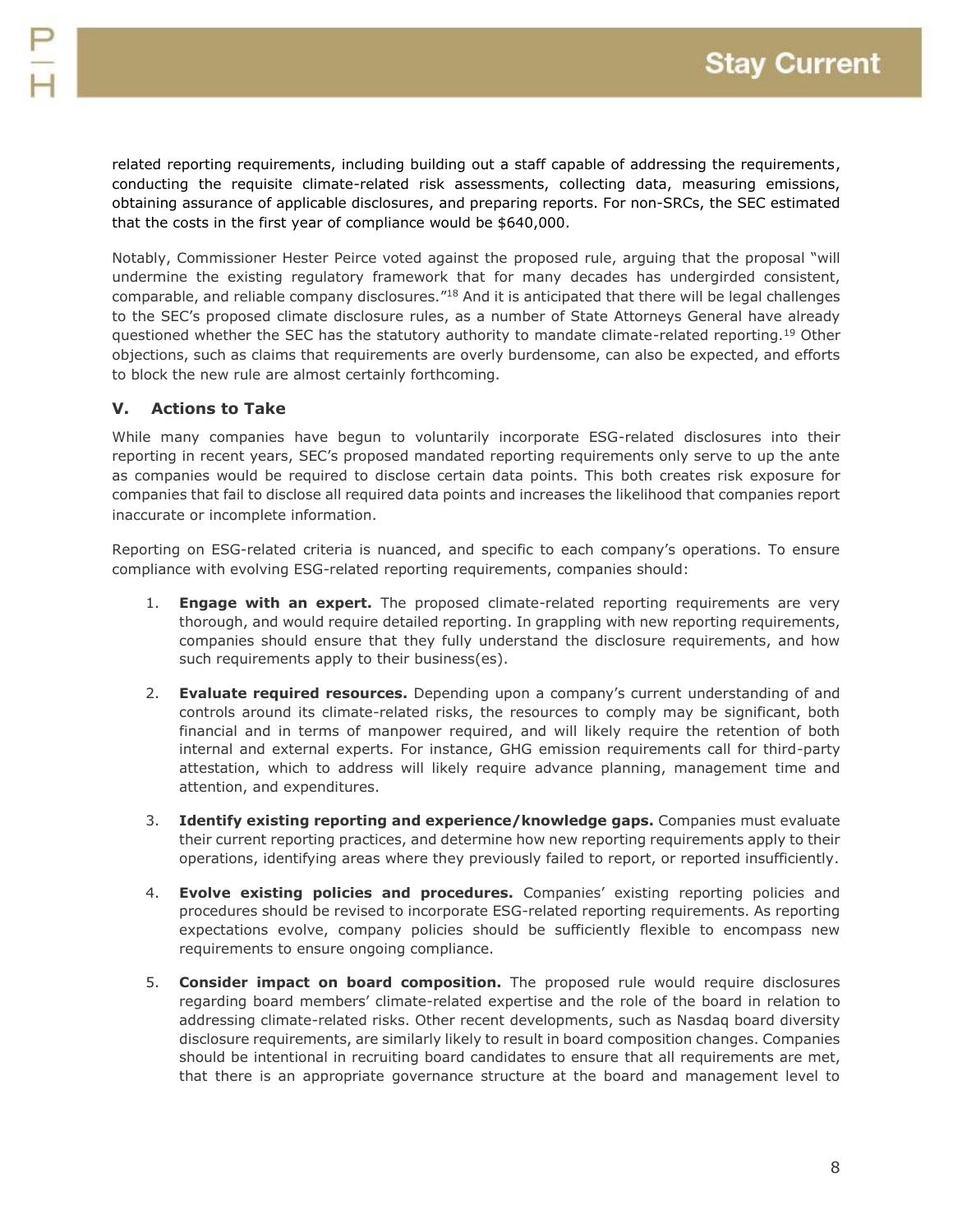related reporting requirements, including building out a staff capable of addressing the requirements, conducting the requisite climate-related risk assessments, collecting data, measuring emissions, obtaining assurance of applicable disclosures, and preparing reports. For non-SRCs, the SEC estimated that the costs in the first year of compliance would be \$640,000.

Notably, Commissioner Hester Peirce voted against the proposed rule, arguing that the proposal "will undermine the existing regulatory framework that for many decades has undergirded consistent, comparable, and reliable company disclosures."<sup>18</sup> And it is anticipated that there will be legal challenges to the SEC's proposed climate disclosure rules, as a number of State Attorneys General have already questioned whether the SEC has the statutory authority to mandate climate-related reporting.<sup>19</sup> Other objections, such as claims that requirements are overly burdensome, can also be expected, and efforts to block the new rule are almost certainly forthcoming.

#### **V. Actions to Take**

While many companies have begun to voluntarily incorporate ESG-related disclosures into their reporting in recent years, SEC's proposed mandated reporting requirements only serve to up the ante as companies would be required to disclose certain data points. This both creates risk exposure for companies that fail to disclose all required data points and increases the likelihood that companies report inaccurate or incomplete information.

Reporting on ESG-related criteria is nuanced, and specific to each company's operations. To ensure compliance with evolving ESG-related reporting requirements, companies should:

- 1. **Engage with an expert.** The proposed climate-related reporting requirements are very thorough, and would require detailed reporting. In grappling with new reporting requirements, companies should ensure that they fully understand the disclosure requirements, and how such requirements apply to their business(es).
- 2. **Evaluate required resources.** Depending upon a company's current understanding of and controls around its climate-related risks, the resources to comply may be significant, both financial and in terms of manpower required, and will likely require the retention of both internal and external experts. For instance, GHG emission requirements call for third-party attestation, which to address will likely require advance planning, management time and attention, and expenditures.
- 3. **Identify existing reporting and experience/knowledge gaps.** Companies must evaluate their current reporting practices, and determine how new reporting requirements apply to their operations, identifying areas where they previously failed to report, or reported insufficiently.
- 4. **Evolve existing policies and procedures.** Companies' existing reporting policies and procedures should be revised to incorporate ESG-related reporting requirements. As reporting expectations evolve, company policies should be sufficiently flexible to encompass new requirements to ensure ongoing compliance.
- 5. **Consider impact on board composition.** The proposed rule would require disclosures regarding board members' climate-related expertise and the role of the board in relation to addressing climate-related risks. Other recent developments, such as Nasdaq board diversity disclosure requirements, are similarly likely to result in board composition changes. Companies should be intentional in recruiting board candidates to ensure that all requirements are met, that there is an appropriate governance structure at the board and management level to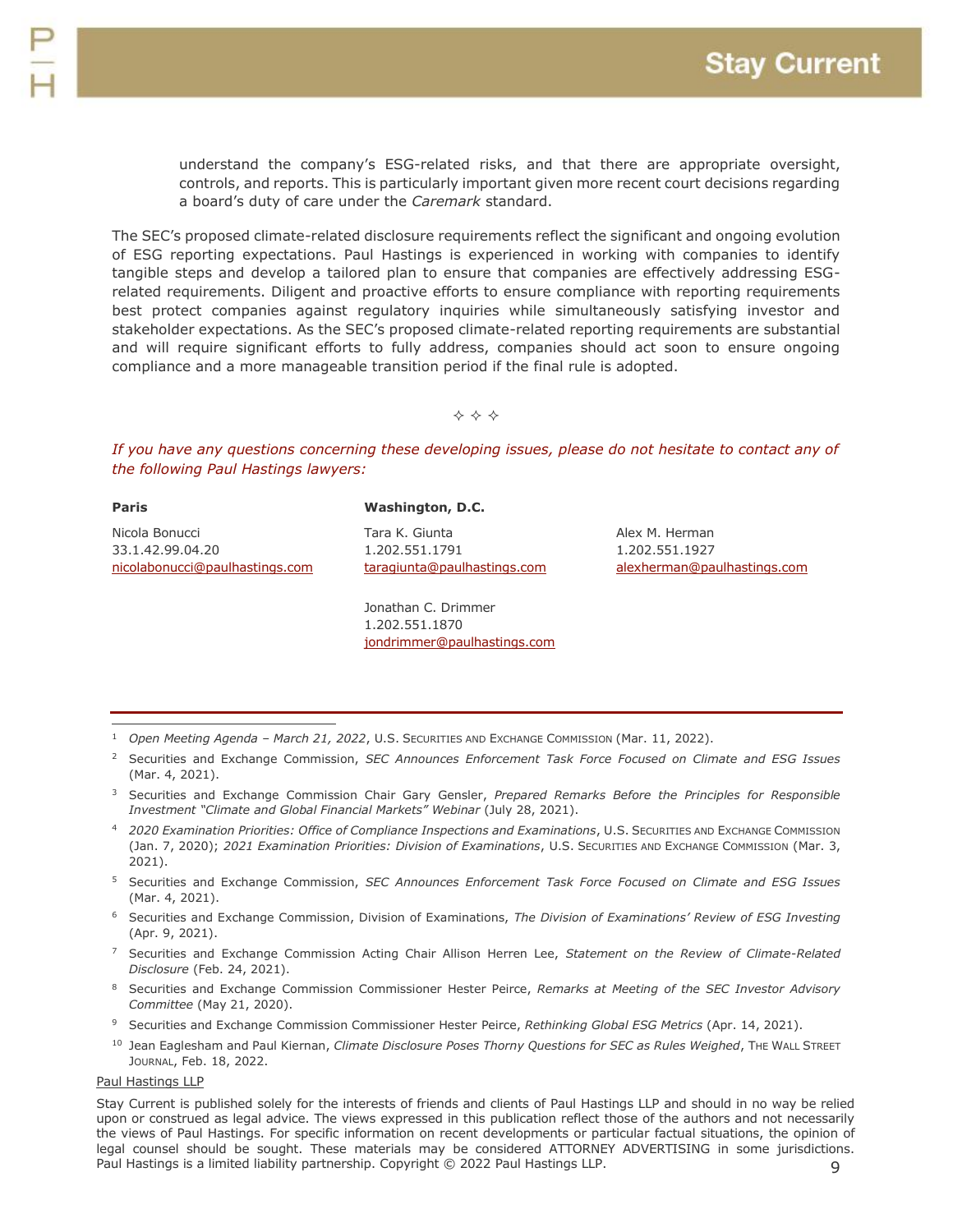understand the company's ESG-related risks, and that there are appropriate oversight, controls, and reports. This is particularly important given more recent court decisions regarding a board's duty of care under the *Caremark* standard.

The SEC's proposed climate-related disclosure requirements reflect the significant and ongoing evolution of ESG reporting expectations. Paul Hastings is experienced in working with companies to identify tangible steps and develop a tailored plan to ensure that companies are effectively addressing ESGrelated requirements. Diligent and proactive efforts to ensure compliance with reporting requirements best protect companies against regulatory inquiries while simultaneously satisfying investor and stakeholder expectations. As the SEC's proposed climate-related reporting requirements are substantial and will require significant efforts to fully address, companies should act soon to ensure ongoing compliance and a more manageable transition period if the final rule is adopted.

 $\Leftrightarrow$   $\Leftrightarrow$   $\Leftrightarrow$ 

*If you have any questions concerning these developing issues, please do not hesitate to contact any of the following Paul Hastings lawyers:*

| Paris                          | Washington, D.C.            |                   |
|--------------------------------|-----------------------------|-------------------|
| Nicola Bonucci                 | Tara K. Giunta              | Alex M. Herman    |
| 33.1.42.99.04.20               | 1.202.551.1791              | 1.202.551.1927    |
| nicolabonucci@paulhastings.com | taragiunta@paulhastings.com | alexherman@paulha |

Jonathan C. Drimmer 1.202.551.1870 [jondrimmer@paulhastings.com](mailto:jondrimmer@paulhastings.com) astings.com

- <sup>1</sup> *Open Meeting Agenda – March 21, 2022*, U.S. SECURITIES AND EXCHANGE COMMISSION (Mar. 11, 2022).  $\overline{a}$
- <sup>2</sup> Securities and Exchange Commission, *SEC Announces Enforcement Task Force Focused on Climate and ESG Issues* (Mar. 4, 2021).
- <sup>3</sup> Securities and Exchange Commission Chair Gary Gensler, *Prepared Remarks Before the Principles for Responsible Investment "Climate and Global Financial Markets" Webinar* (July 28, 2021).
- <sup>4</sup> *2020 Examination Priorities: Office of Compliance Inspections and Examinations*, U.S. SECURITIES AND EXCHANGE COMMISSION (Jan. 7, 2020); *2021 Examination Priorities: Division of Examinations*, U.S. SECURITIES AND EXCHANGE COMMISSION (Mar. 3, 2021).
- <sup>5</sup> Securities and Exchange Commission, *SEC Announces Enforcement Task Force Focused on Climate and ESG Issues* (Mar. 4, 2021).
- <sup>6</sup> Securities and Exchange Commission, Division of Examinations, *The Division of Examinations' Review of ESG Investing*  (Apr. 9, 2021).
- <sup>7</sup> Securities and Exchange Commission Acting Chair Allison Herren Lee, *Statement on the Review of Climate-Related Disclosure* (Feb. 24, 2021).
- <sup>8</sup> Securities and Exchange Commission Commissioner Hester Peirce, *Remarks at Meeting of the SEC Investor Advisory Committee* (May 21, 2020).
- <sup>9</sup> Securities and Exchange Commission Commissioner Hester Peirce, *Rethinking Global ESG Metrics* (Apr. 14, 2021).
- <sup>10</sup> Jean Eaglesham and Paul Kiernan, *Climate Disclosure Poses Thorny Questions for SEC as Rules Weighed*, The WALL STREET JOURNAL, Feb. 18, 2022.

#### Paul Hastings LLP

 $\mathsf{Q}$ Stay Current is published solely for the interests of friends and clients of Paul Hastings LLP and should in no way be relied upon or construed as legal advice. The views expressed in this publication reflect those of the authors and not necessarily the views of Paul Hastings. For specific information on recent developments or particular factual situations, the opinion of legal counsel should be sought. These materials may be considered ATTORNEY ADVERTISING in some jurisdictions. Paul Hastings is a limited liability partnership. Copyright © 2022 Paul Hastings LLP.